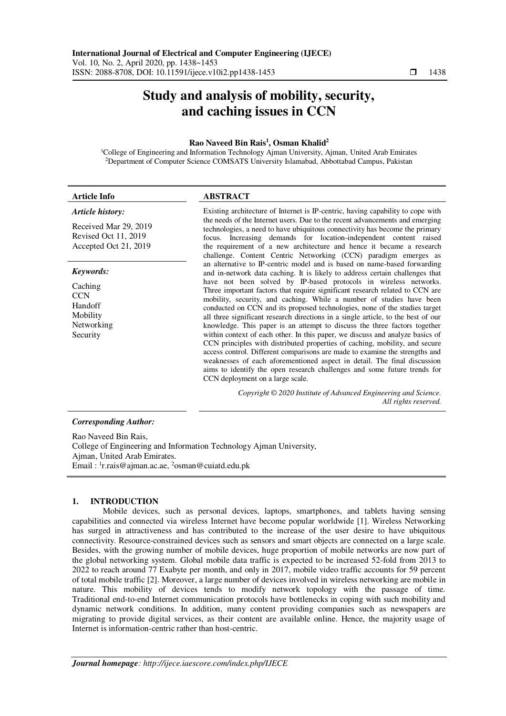# **Study and analysis of mobility, security, and caching issues in CCN**

# **Rao Naveed Bin Rais<sup>1</sup> , Osman Khalid<sup>2</sup>**

<sup>1</sup>College of Engineering and Information Technology Ajman University, Ajman, United Arab Emirates <sup>2</sup>Department of Computer Science COMSATS University Islamabad, Abbottabad Campus, Pakistan

| <b>Article Info</b>                                                    | <b>ABSTRACT</b>                                                                                                                                                                                                                                                                                                                                                                                                                                                                                                                                                                                                                                                                                                                                                                                                                                                                                                     |  |  |
|------------------------------------------------------------------------|---------------------------------------------------------------------------------------------------------------------------------------------------------------------------------------------------------------------------------------------------------------------------------------------------------------------------------------------------------------------------------------------------------------------------------------------------------------------------------------------------------------------------------------------------------------------------------------------------------------------------------------------------------------------------------------------------------------------------------------------------------------------------------------------------------------------------------------------------------------------------------------------------------------------|--|--|
| Article history:                                                       | Existing architecture of Internet is IP-centric, having capability to cope with                                                                                                                                                                                                                                                                                                                                                                                                                                                                                                                                                                                                                                                                                                                                                                                                                                     |  |  |
| Received Mar 29, 2019<br>Revised Oct 11, 2019<br>Accepted Oct 21, 2019 | the needs of the Internet users. Due to the recent advancements and emerging<br>technologies, a need to have ubiquitous connectivity has become the primary<br>focus. Increasing demands for location-independent content raised<br>the requirement of a new architecture and hence it became a research<br>challenge. Content Centric Networking (CCN) paradigm emerges as                                                                                                                                                                                                                                                                                                                                                                                                                                                                                                                                         |  |  |
| Keywords:                                                              | an alternative to IP-centric model and is based on name-based forwarding<br>and in-network data caching. It is likely to address certain challenges that                                                                                                                                                                                                                                                                                                                                                                                                                                                                                                                                                                                                                                                                                                                                                            |  |  |
| Caching<br><b>CCN</b><br>Handoff<br>Mobility<br>Networking<br>Security | have not been solved by IP-based protocols in wireless networks.<br>Three important factors that require significant research related to CCN are<br>mobility, security, and caching. While a number of studies have been<br>conducted on CCN and its proposed technologies, none of the studies target<br>all three significant research directions in a single article, to the best of our<br>knowledge. This paper is an attempt to discuss the three factors together<br>within context of each other. In this paper, we discuss and analyze basics of<br>CCN principles with distributed properties of caching, mobility, and secure<br>access control. Different comparisons are made to examine the strengths and<br>weaknesses of each aforementioned aspect in detail. The final discussion<br>aims to identify the open research challenges and some future trends for<br>CCN deployment on a large scale. |  |  |
|                                                                        | Copyright © 2020 Institute of Advanced Engineering and Science.<br>All rights reserved.                                                                                                                                                                                                                                                                                                                                                                                                                                                                                                                                                                                                                                                                                                                                                                                                                             |  |  |
|                                                                        |                                                                                                                                                                                                                                                                                                                                                                                                                                                                                                                                                                                                                                                                                                                                                                                                                                                                                                                     |  |  |

# *Corresponding Author:*

Rao Naveed Bin Rais, College of Engineering and Information Technology Ajman University, Ajman, United Arab Emirates. Email : <sup>1</sup>[r.rais@ajman.ac.ae,](mailto:1r.rais@ajman.ac.ae) <sup>2</sup>osman@cuiatd.edu.pk

# **1. INTRODUCTION**

Mobile devices, such as personal devices, laptops, smartphones, and tablets having sensing capabilities and connected via wireless Internet have become popular worldwide [1]. Wireless Networking has surged in attractiveness and has contributed to the increase of the user desire to have ubiquitous connectivity. Resource-constrained devices such as sensors and smart objects are connected on a large scale. Besides, with the growing number of mobile devices, huge proportion of mobile networks are now part of the global networking system. Global mobile data traffic is expected to be increased 52-fold from 2013 to 2022 to reach around 77 Exabyte per month, and only in 2017, mobile video traffic accounts for 59 percent of total mobile traffic [2]. Moreover, a large number of devices involved in wireless networking are mobile in nature. This mobility of devices tends to modify network topology with the passage of time. Traditional end-to-end Internet communication protocols have bottlenecks in coping with such mobility and dynamic network conditions. In addition, many content providing companies such as newspapers are migrating to provide digital services, as their content are available online. Hence, the majority usage of Internet is information-centric rather than host-centric.

Ī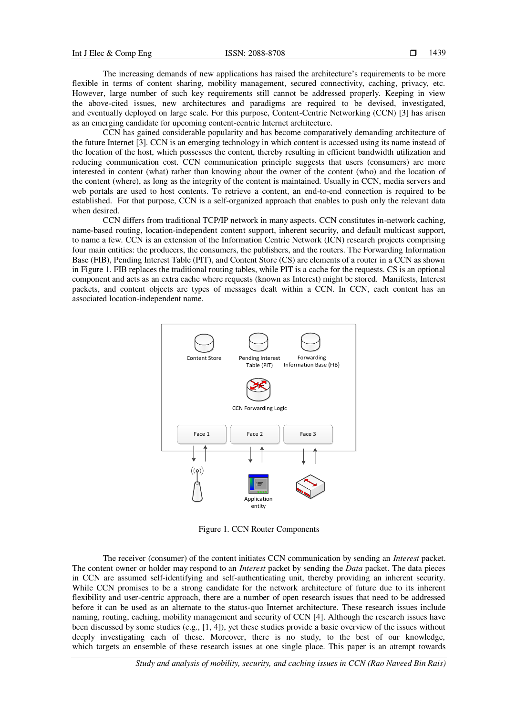The increasing demands of new applications has raised the architecture's requirements to be more flexible in terms of content sharing, mobility management, secured connectivity, caching, privacy, etc. However, large number of such key requirements still cannot be addressed properly. Keeping in view the above-cited issues, new architectures and paradigms are required to be devised, investigated, and eventually deployed on large scale. For this purpose, Content-Centric Networking (CCN) [3] has arisen as an emerging candidate for upcoming content-centric Internet architecture.

CCN has gained considerable popularity and has become comparatively demanding architecture of the future Internet [3]. CCN is an emerging technology in which content is accessed using its name instead of the location of the host, which possesses the content, thereby resulting in efficient bandwidth utilization and reducing communication cost. CCN communication principle suggests that users (consumers) are more interested in content (what) rather than knowing about the owner of the content (who) and the location of the content (where), as long as the integrity of the content is maintained. Usually in CCN, media servers and web portals are used to host contents. To retrieve a content, an end-to-end connection is required to be established. For that purpose, CCN is a self-organized approach that enables to push only the relevant data when desired.

CCN differs from traditional TCP/IP network in many aspects. CCN constitutes in-network caching, name-based routing, location-independent content support, inherent security, and default multicast support, to name a few. CCN is an extension of the Information Centric Network (ICN) research projects comprising four main entities: the producers, the consumers, the publishers, and the routers. The Forwarding Information Base (FIB), Pending Interest Table (PIT), and Content Store (CS) are elements of a router in a CCN as shown in Figure 1. FIB replaces the traditional routing tables, while PIT is a cache for the requests. CS is an optional component and acts as an extra cache where requests (known as Interest) might be stored. Manifests, Interest packets, and content objects are types of messages dealt within a CCN. In CCN, each content has an associated location-independent name.



Figure 1. CCN Router Components

The receiver (consumer) of the content initiates CCN communication by sending an *Interest* packet. The content owner or holder may respond to an *Interest* packet by sending the *Data* packet. The data pieces in CCN are assumed self-identifying and self-authenticating unit, thereby providing an inherent security. While CCN promises to be a strong candidate for the network architecture of future due to its inherent flexibility and user-centric approach, there are a number of open research issues that need to be addressed before it can be used as an alternate to the status-quo Internet architecture. These research issues include naming, routing, caching, mobility management and security of CCN [4]. Although the research issues have been discussed by some studies (e.g., [1, 4]), yet these studies provide a basic overview of the issues without deeply investigating each of these. Moreover, there is no study, to the best of our knowledge, which targets an ensemble of these research issues at one single place. This paper is an attempt towards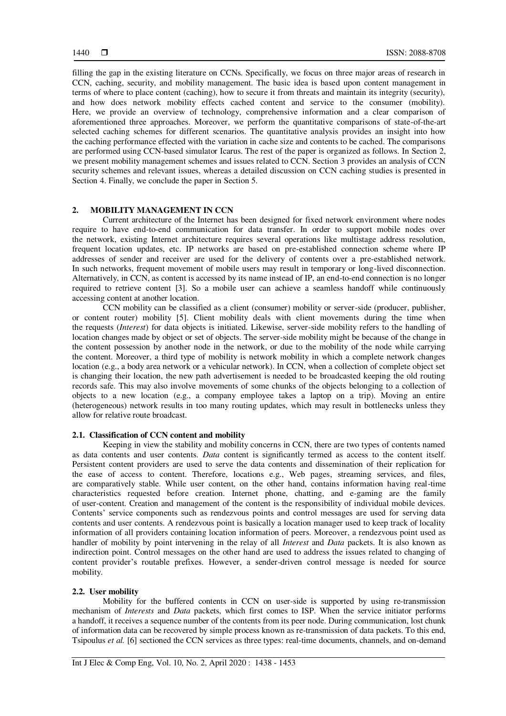filling the gap in the existing literature on CCNs. Specifically, we focus on three major areas of research in CCN, caching, security, and mobility management. The basic idea is based upon content management in terms of where to place content (caching), how to secure it from threats and maintain its integrity (security), and how does network mobility effects cached content and service to the consumer (mobility). Here, we provide an overview of technology, comprehensive information and a clear comparison of aforementioned three approaches. Moreover, we perform the quantitative comparisons of state-of-the-art selected caching schemes for different scenarios. The quantitative analysis provides an insight into how the caching performance effected with the variation in cache size and contents to be cached. The comparisons are performed using CCN-based simulator Icarus. The rest of the paper is organized as follows. In Section 2, we present mobility management schemes and issues related to CCN. Section 3 provides an analysis of CCN security schemes and relevant issues, whereas a detailed discussion on CCN caching studies is presented in Section 4. Finally, we conclude the paper in Section 5.

# **2. MOBILITY MANAGEMENT IN CCN**

Current architecture of the Internet has been designed for fixed network environment where nodes require to have end-to-end communication for data transfer. In order to support mobile nodes over the network, existing Internet architecture requires several operations like multistage address resolution, frequent location updates, etc. IP networks are based on pre-established connection scheme where IP addresses of sender and receiver are used for the delivery of contents over a pre-established network. In such networks, frequent movement of mobile users may result in temporary or long-lived disconnection. Alternatively, in CCN, as content is accessed by its name instead of IP, an end-to-end connection is no longer required to retrieve content [3]. So a mobile user can achieve a seamless handoff while continuously accessing content at another location.

CCN mobility can be classified as a client (consumer) mobility or server-side (producer, publisher, or content router) mobility [5]. Client mobility deals with client movements during the time when the requests (*Interest*) for data objects is initiated. Likewise, server-side mobility refers to the handling of location changes made by object or set of objects. The server-side mobility might be because of the change in the content possession by another node in the network, or due to the mobility of the node while carrying the content. Moreover, a third type of mobility is network mobility in which a complete network changes location (e.g., a body area network or a vehicular network). In CCN, when a collection of complete object set is changing their location, the new path advertisement is needed to be broadcasted keeping the old routing records safe. This may also involve movements of some chunks of the objects belonging to a collection of objects to a new location (e.g., a company employee takes a laptop on a trip). Moving an entire (heterogeneous) network results in too many routing updates, which may result in bottlenecks unless they allow for relative route broadcast.

# **2.1. Classification of CCN content and mobility**

Keeping in view the stability and mobility concerns in CCN, there are two types of contents named as data contents and user contents. *Data* content is significantly termed as access to the content itself. Persistent content providers are used to serve the data contents and dissemination of their replication for the ease of access to content. Therefore, locations e.g., Web pages, streaming services, and files, are comparatively stable. While user content, on the other hand, contains information having real-time characteristics requested before creation. Internet phone, chatting, and e-gaming are the family of user-content. Creation and management of the content is the responsibility of individual mobile devices. Contents' service components such as rendezvous points and control messages are used for serving data contents and user contents. A rendezvous point is basically a location manager used to keep track of locality information of all providers containing location information of peers. Moreover, a rendezvous point used as handler of mobility by point intervening in the relay of all *Interest* and *Data* packets. It is also known as indirection point. Control messages on the other hand are used to address the issues related to changing of content provider's routable prefixes. However, a sender-driven control message is needed for source mobility.

#### **2.2. User mobility**

Mobility for the buffered contents in CCN on user-side is supported by using re-transmission mechanism of *Interests* and *Data* packets, which first comes to ISP. When the service initiator performs a handoff, it receives a sequence number of the contents from its peer node. During communication, lost chunk of information data can be recovered by simple process known as re-transmission of data packets. To this end, Tsipoulus *et al.* [6] sectioned the CCN services as three types: real-time documents, channels, and on-demand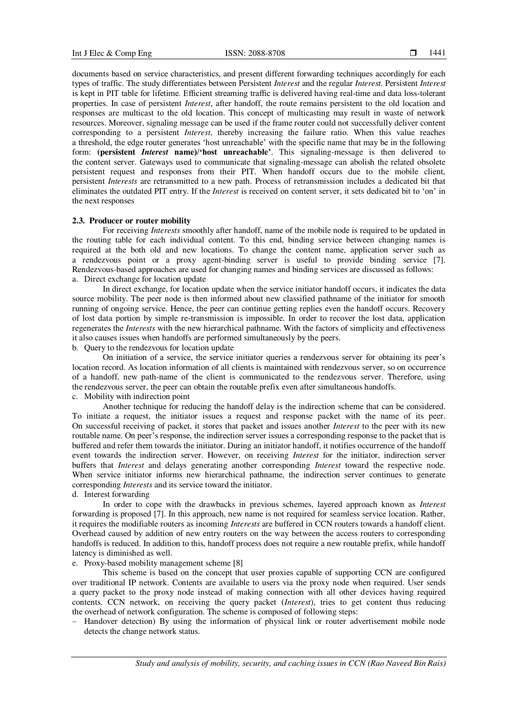documents based on service characteristics, and present different forwarding techniques accordingly for each types of traffic. The study differentiates between Persistent *Interest* and the regular *Interest*. Persistent *Interest* is kept in PIT table for lifetime. Efficient streaming traffic is delivered having real-time and data loss-tolerant properties. In case of persistent *Interest*, after handoff, the route remains persistent to the old location and responses are multicast to the old location. This concept of multicasting may result in waste of network resources. Moreover, signaling message can be used if the frame router could not successfully deliver content corresponding to a persistent *Interest*, thereby increasing the failure ratio. When this value reaches a threshold, the edge router generates 'host unreachable' with the specific name that may be in the following form: **(persistent** *Interest* **name)/'host unreachable'**. This signaling-message is then delivered to the content server. Gateways used to communicate that signaling-message can abolish the related obsolete persistent request and responses from their PIT. When handoff occurs due to the mobile client, persistent *Interests* are retransmitted to a new path. Process of retransmission includes a dedicated bit that eliminates the outdated PIT entry. If the *Interest* is received on content server, it sets dedicated bit to 'on' in the next responses

## **2.3. Producer or router mobility**

For receiving *Interests* smoothly after handoff, name of the mobile node is required to be updated in the routing table for each individual content. To this end, binding service between changing names is required at the both old and new locations. To change the content name, application server such as a rendezvous point or a proxy agent-binding server is useful to provide binding service [7]. Rendezvous-based approaches are used for changing names and binding services are discussed as follows: a. Direct exchange for location update

In direct exchange, for location update when the service initiator handoff occurs, it indicates the data source mobility. The peer node is then informed about new classified pathname of the initiator for smooth running of ongoing service. Hence, the peer can continue getting replies even the handoff occurs. Recovery of lost data portion by simple re-transmission is impossible. In order to recover the lost data, application regenerates the *Interests* with the new hierarchical pathname. With the factors of simplicity and effectiveness it also causes issues when handoffs are performed simultaneously by the peers.

b. Query to the rendezvous for location update

On initiation of a service, the service initiator queries a rendezvous server for obtaining its peer's location record. As location information of all clients is maintained with rendezvous server, so on occurrence of a handoff, new path-name of the client is communicated to the rendezvous server. Therefore, using the rendezvous server, the peer can obtain the routable prefix even after simultaneous handoffs. c. Mobility with indirection point

Another technique for reducing the handoff delay is the indirection scheme that can be considered. To initiate a request, the initiator issues a request and response packet with the name of its peer. On successful receiving of packet, it stores that packet and issues another *Interest* to the peer with its new routable name. On peer's response, the indirection server issues a corresponding response to the packet that is buffered and refer them towards the initiator. During an initiator handoff, it notifies occurrence of the handoff event towards the indirection server. However, on receiving *Interest* for the initiator, indirection server buffers that *Interest* and delays generating another corresponding *Interest* toward the respective node. When service initiator informs new hierarchical pathname, the indirection server continues to generate corresponding *Interests* and its service toward the initiator.

d. Interest forwarding

In order to cope with the drawbacks in previous schemes, layered approach known as *Interest* forwarding is proposed [7]. In this approach, new name is not required for seamless service location. Rather, it requires the modifiable routers as incoming *Interests* are buffered in CCN routers towards a handoff client. Overhead caused by addition of new entry routers on the way between the access routers to corresponding handoffs is reduced. In addition to this, handoff process does not require a new routable prefix, while handoff latency is diminished as well.

## e. Proxy-based mobility management scheme [8]

This scheme is based on the concept that user proxies capable of supporting CCN are configured over traditional IP network. Contents are available to users via the proxy node when required. User sends a query packet to the proxy node instead of making connection with all other devices having required contents. CCN network, on receiving the query packet (*Interest*), tries to get content thus reducing the overhead of network configuration. The scheme is composed of following steps:

- Handover detection) By using the information of physical link or router advertisement mobile node detects the change network status.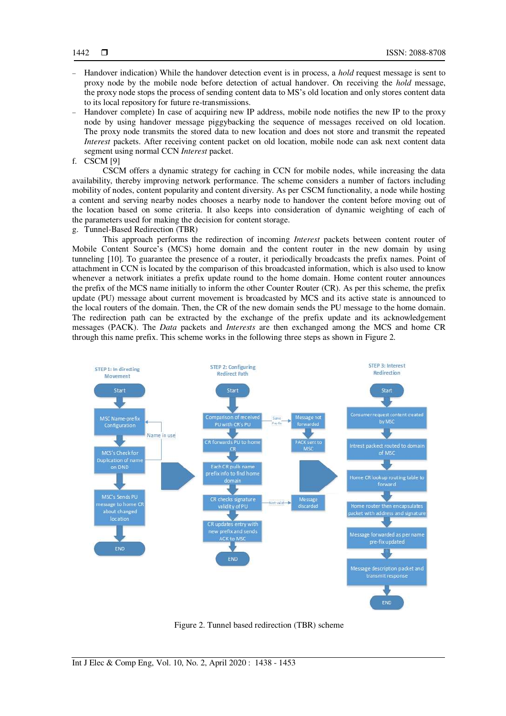- Handover indication) While the handover detection event is in process, a *hold* request message is sent to proxy node by the mobile node before detection of actual handover. On receiving the *hold* message, the proxy node stops the process of sending content data to MS's old location and only stores content data to its local repository for future re-transmissions.
- Handover complete) In case of acquiring new IP address, mobile node notifies the new IP to the proxy node by using handover message piggybacking the sequence of messages received on old location. The proxy node transmits the stored data to new location and does not store and transmit the repeated *Interest* packets. After receiving content packet on old location, mobile node can ask next content data segment using normal CCN *Interest* packet.
- f. CSCM [9]

CSCM offers a dynamic strategy for caching in CCN for mobile nodes, while increasing the data availability, thereby improving network performance. The scheme considers a number of factors including mobility of nodes, content popularity and content diversity. As per CSCM functionality, a node while hosting a content and serving nearby nodes chooses a nearby node to handover the content before moving out of the location based on some criteria. It also keeps into consideration of dynamic weighting of each of the parameters used for making the decision for content storage.

g. Tunnel-Based Redirection (TBR)

This approach performs the redirection of incoming *Interest* packets between content router of Mobile Content Source's (MCS) home domain and the content router in the new domain by using tunneling [10]. To guarantee the presence of a router, it periodically broadcasts the prefix names. Point of attachment in CCN is located by the comparison of this broadcasted information, which is also used to know whenever a network initiates a prefix update round to the home domain. Home content router announces the prefix of the MCS name initially to inform the other Counter Router (CR). As per this scheme, the prefix update (PU) message about current movement is broadcasted by MCS and its active state is announced to the local routers of the domain. Then, the CR of the new domain sends the PU message to the home domain. The redirection path can be extracted by the exchange of the prefix update and its acknowledgement messages (PACK). The *Data* packets and *Interests* are then exchanged among the MCS and home CR through this name prefix. This scheme works in the following three steps as shown in Figure 2.



Figure 2. Tunnel based redirection (TBR) scheme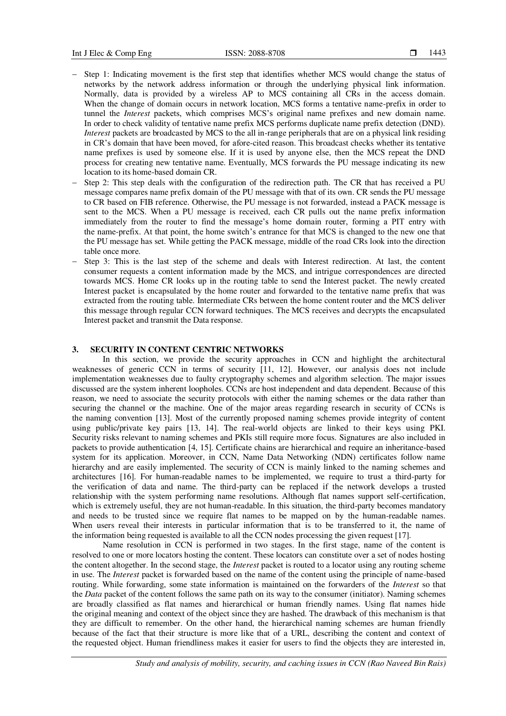- Step 1: Indicating movement is the first step that identifies whether MCS would change the status of networks by the network address information or through the underlying physical link information. Normally, data is provided by a wireless AP to MCS containing all CRs in the access domain. When the change of domain occurs in network location, MCS forms a tentative name-prefix in order to tunnel the *Interest* packets, which comprises MCS's original name prefixes and new domain name. In order to check validity of tentative name prefix MCS performs duplicate name prefix detection (DND). *Interest* packets are broadcasted by MCS to the all in-range peripherals that are on a physical link residing in CR's domain that have been moved, for afore-cited reason. This broadcast checks whether its tentative name prefixes is used by someone else. If it is used by anyone else, then the MCS repeat the DND process for creating new tentative name. Eventually, MCS forwards the PU message indicating its new location to its home-based domain CR.
- Step 2: This step deals with the configuration of the redirection path. The CR that has received a PU message compares name prefix domain of the PU message with that of its own. CR sends the PU message to CR based on FIB reference. Otherwise, the PU message is not forwarded, instead a PACK message is sent to the MCS. When a PU message is received, each CR pulls out the name prefix information immediately from the router to find the message's home domain router, forming a PIT entry with the name-prefix. At that point, the home switch's entrance for that MCS is changed to the new one that the PU message has set. While getting the PACK message, middle of the road CRs look into the direction table once more.
- Step 3: This is the last step of the scheme and deals with Interest redirection. At last, the content consumer requests a content information made by the MCS, and intrigue correspondences are directed towards MCS. Home CR looks up in the routing table to send the Interest packet. The newly created Interest packet is encapsulated by the home router and forwarded to the tentative name prefix that was extracted from the routing table. Intermediate CRs between the home content router and the MCS deliver this message through regular CCN forward techniques. The MCS receives and decrypts the encapsulated Interest packet and transmit the Data response.

# **3. SECURITY IN CONTENT CENTRIC NETWORKS**

In this section, we provide the security approaches in CCN and highlight the architectural weaknesses of generic CCN in terms of security [11, 12]. However, our analysis does not include implementation weaknesses due to faulty cryptography schemes and algorithm selection. The major issues discussed are the system inherent loopholes. CCNs are host independent and data dependent. Because of this reason, we need to associate the security protocols with either the naming schemes or the data rather than securing the channel or the machine. One of the major areas regarding research in security of CCNs is the naming convention [13]. Most of the currently proposed naming schemes provide integrity of content using public/private key pairs [13, 14]. The real-world objects are linked to their keys using PKI. Security risks relevant to naming schemes and PKIs still require more focus. Signatures are also included in packets to provide authentication [4, 15]. Certificate chains are hierarchical and require an inheritance-based system for its application. Moreover, in CCN, Name Data Networking (NDN) certificates follow name hierarchy and are easily implemented. The security of CCN is mainly linked to the naming schemes and architectures [16]. For human-readable names to be implemented, we require to trust a third-party for the verification of data and name. The third-party can be replaced if the network develops a trusted relationship with the system performing name resolutions. Although flat names support self-certification, which is extremely useful, they are not human-readable. In this situation, the third-party becomes mandatory and needs to be trusted since we require flat names to be mapped on by the human-readable names. When users reveal their interests in particular information that is to be transferred to it, the name of the information being requested is available to all the CCN nodes processing the given request [17].

Name resolution in CCN is performed in two stages. In the first stage, name of the content is resolved to one or more locators hosting the content. These locators can constitute over a set of nodes hosting the content altogether. In the second stage, the *Interest* packet is routed to a locator using any routing scheme in use. The *Interest* packet is forwarded based on the name of the content using the principle of name-based routing. While forwarding, some state information is maintained on the forwarders of the *Interest* so that the *Data* packet of the content follows the same path on its way to the consumer (initiator). Naming schemes are broadly classified as flat names and hierarchical or human friendly names. Using flat names hide the original meaning and context of the object since they are hashed. The drawback of this mechanism is that they are difficult to remember. On the other hand, the hierarchical naming schemes are human friendly because of the fact that their structure is more like that of a URL, describing the content and context of the requested object. Human friendliness makes it easier for users to find the objects they are interested in,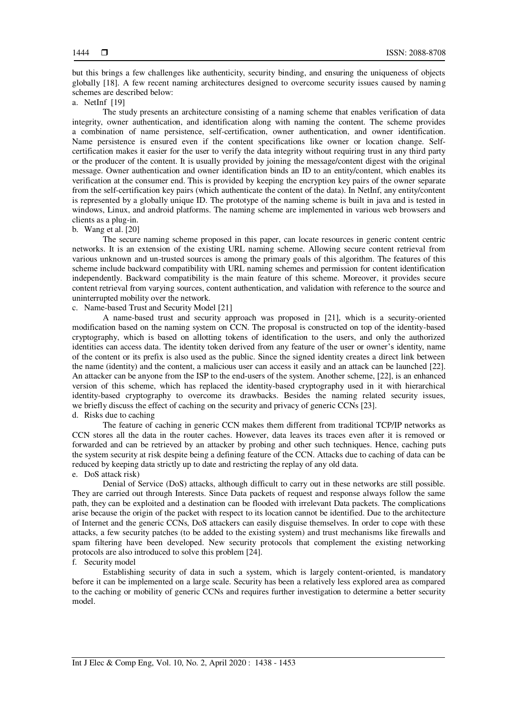but this brings a few challenges like authenticity, security binding, and ensuring the uniqueness of objects globally [18]. A few recent naming architectures designed to overcome security issues caused by naming schemes are described below:

## a. NetInf [19]

The study presents an architecture consisting of a naming scheme that enables verification of data integrity, owner authentication, and identification along with naming the content. The scheme provides a combination of name persistence, self-certification, owner authentication, and owner identification. Name persistence is ensured even if the content specifications like owner or location change. Selfcertification makes it easier for the user to verify the data integrity without requiring trust in any third party or the producer of the content. It is usually provided by joining the message/content digest with the original message. Owner authentication and owner identification binds an ID to an entity/content, which enables its verification at the consumer end. This is provided by keeping the encryption key pairs of the owner separate from the self-certification key pairs (which authenticate the content of the data). In NetInf, any entity/content is represented by a globally unique ID. The prototype of the naming scheme is built in java and is tested in windows, Linux, and android platforms. The naming scheme are implemented in various web browsers and clients as a plug-in.

#### b. Wang et al. [20]

The secure naming scheme proposed in this paper, can locate resources in generic content centric networks. It is an extension of the existing URL naming scheme. Allowing secure content retrieval from various unknown and un-trusted sources is among the primary goals of this algorithm. The features of this scheme include backward compatibility with URL naming schemes and permission for content identification independently. Backward compatibility is the main feature of this scheme. Moreover, it provides secure content retrieval from varying sources, content authentication, and validation with reference to the source and uninterrupted mobility over the network.

c. Name-based Trust and Security Model [21]

A name-based trust and security approach was proposed in [21], which is a security-oriented modification based on the naming system on CCN. The proposal is constructed on top of the identity-based cryptography, which is based on allotting tokens of identification to the users, and only the authorized identities can access data. The identity token derived from any feature of the user or owner's identity, name of the content or its prefix is also used as the public. Since the signed identity creates a direct link between the name (identity) and the content, a malicious user can access it easily and an attack can be launched [22]. An attacker can be anyone from the ISP to the end-users of the system. Another scheme, [22], is an enhanced version of this scheme, which has replaced the identity-based cryptography used in it with hierarchical identity-based cryptography to overcome its drawbacks. Besides the naming related security issues, we briefly discuss the effect of caching on the security and privacy of generic CCNs [23].

d. Risks due to caching

The feature of caching in generic CCN makes them different from traditional TCP/IP networks as CCN stores all the data in the router caches. However, data leaves its traces even after it is removed or forwarded and can be retrieved by an attacker by probing and other such techniques. Hence, caching puts the system security at risk despite being a defining feature of the CCN. Attacks due to caching of data can be reduced by keeping data strictly up to date and restricting the replay of any old data.

## e. DoS attack risk)

Denial of Service (DoS) attacks, although difficult to carry out in these networks are still possible. They are carried out through Interests. Since Data packets of request and response always follow the same path, they can be exploited and a destination can be flooded with irrelevant Data packets. The complications arise because the origin of the packet with respect to its location cannot be identified. Due to the architecture of Internet and the generic CCNs, DoS attackers can easily disguise themselves. In order to cope with these attacks, a few security patches (to be added to the existing system) and trust mechanisms like firewalls and spam filtering have been developed. New security protocols that complement the existing networking protocols are also introduced to solve this problem [24].

## f. Security model

Establishing security of data in such a system, which is largely content-oriented, is mandatory before it can be implemented on a large scale. Security has been a relatively less explored area as compared to the caching or mobility of generic CCNs and requires further investigation to determine a better security model.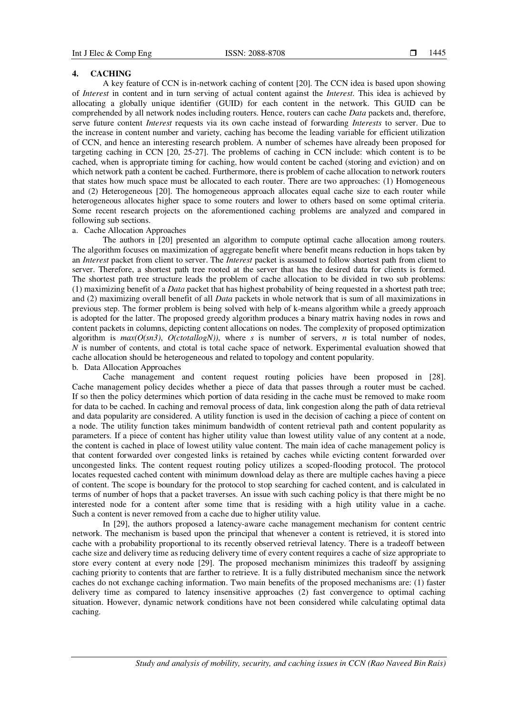### **4. CACHING**

A key feature of CCN is in-network caching of content [20]. The CCN idea is based upon showing of *Interest* in content and in turn serving of actual content against the *Interest*. This idea is achieved by allocating a globally unique identifier (GUID) for each content in the network. This GUID can be comprehended by all network nodes including routers. Hence, routers can cache *Data* packets and, therefore, serve future content *Interest* requests via its own cache instead of forwarding *Interests* to server. Due to the increase in content number and variety, caching has become the leading variable for efficient utilization of CCN, and hence an interesting research problem. A number of schemes have already been proposed for targeting caching in CCN [20, 25-27]. The problems of caching in CCN include: which content is to be cached, when is appropriate timing for caching, how would content be cached (storing and eviction) and on which network path a content be cached. Furthermore, there is problem of cache allocation to network routers that states how much space must be allocated to each router. There are two approaches: (1) Homogeneous and (2) Heterogeneous [20]. The homogeneous approach allocates equal cache size to each router while heterogeneous allocates higher space to some routers and lower to others based on some optimal criteria. Some recent research projects on the aforementioned caching problems are analyzed and compared in following sub sections.

# a. Cache Allocation Approaches

The authors in [20] presented an algorithm to compute optimal cache allocation among routers. The algorithm focuses on maximization of aggregate benefit where benefit means reduction in hops taken by an *Interest* packet from client to server. The *Interest* packet is assumed to follow shortest path from client to server. Therefore, a shortest path tree rooted at the server that has the desired data for clients is formed. The shortest path tree structure leads the problem of cache allocation to be divided in two sub problems: (1) maximizing benefit of a *Data* packet that has highest probability of being requested in a shortest path tree; and (2) maximizing overall benefit of all *Data* packets in whole network that is sum of all maximizations in previous step. The former problem is being solved with help of k-means algorithm while a greedy approach is adopted for the latter. The proposed greedy algorithm produces a binary matrix having nodes in rows and content packets in columns, depicting content allocations on nodes. The complexity of proposed optimization algorithm is *max(O(sn3)*, *O(ctotallogN))*, where *s* is number of servers, *n* is total number of nodes, *N* is number of contents, and ctotal is total cache space of network. Experimental evaluation showed that cache allocation should be heterogeneous and related to topology and content popularity. b. Data Allocation Approaches

Cache management and content request routing policies have been proposed in [28]. Cache management policy decides whether a piece of data that passes through a router must be cached. If so then the policy determines which portion of data residing in the cache must be removed to make room for data to be cached. In caching and removal process of data, link congestion along the path of data retrieval and data popularity are considered. A utility function is used in the decision of caching a piece of content on a node. The utility function takes minimum bandwidth of content retrieval path and content popularity as parameters. If a piece of content has higher utility value than lowest utility value of any content at a node, the content is cached in place of lowest utility value content. The main idea of cache management policy is that content forwarded over congested links is retained by caches while evicting content forwarded over uncongested links. The content request routing policy utilizes a scoped-flooding protocol. The protocol locates requested cached content with minimum download delay as there are multiple caches having a piece of content. The scope is boundary for the protocol to stop searching for cached content, and is calculated in terms of number of hops that a packet traverses. An issue with such caching policy is that there might be no interested node for a content after some time that is residing with a high utility value in a cache. Such a content is never removed from a cache due to higher utility value.

In [29], the authors proposed a latency-aware cache management mechanism for content centric network. The mechanism is based upon the principal that whenever a content is retrieved, it is stored into cache with a probability proportional to its recently observed retrieval latency. There is a tradeoff between cache size and delivery time as reducing delivery time of every content requires a cache of size appropriate to store every content at every node [29]. The proposed mechanism minimizes this tradeoff by assigning caching priority to contents that are farther to retrieve. It is a fully distributed mechanism since the network caches do not exchange caching information. Two main benefits of the proposed mechanisms are: (1) faster delivery time as compared to latency insensitive approaches (2) fast convergence to optimal caching situation. However, dynamic network conditions have not been considered while calculating optimal data caching.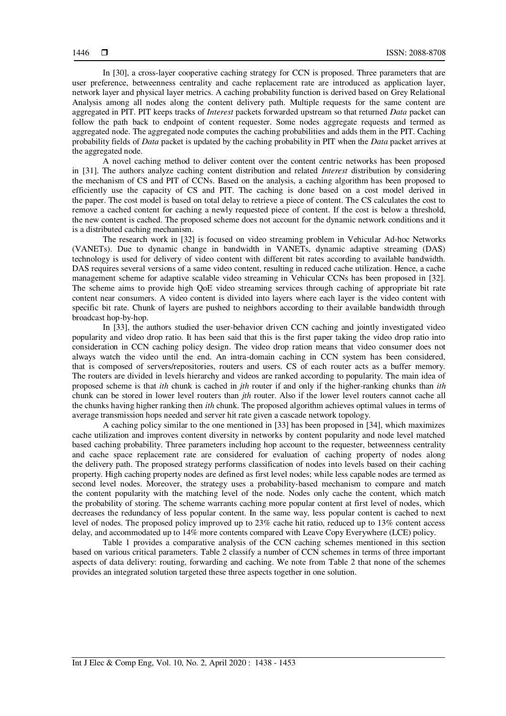In [30], a cross-layer cooperative caching strategy for CCN is proposed. Three parameters that are user preference, betweenness centrality and cache replacement rate are introduced as application layer, network layer and physical layer metrics. A caching probability function is derived based on Grey Relational Analysis among all nodes along the content delivery path. Multiple requests for the same content are aggregated in PIT. PIT keeps tracks of *Interest* packets forwarded upstream so that returned *Data* packet can follow the path back to endpoint of content requester. Some nodes aggregate requests and termed as aggregated node. The aggregated node computes the caching probabilities and adds them in the PIT. Caching probability fields of *Data* packet is updated by the caching probability in PIT when the *Data* packet arrives at the aggregated node.

A novel caching method to deliver content over the content centric networks has been proposed in [31]. The authors analyze caching content distribution and related *Interest* distribution by considering the mechanism of CS and PIT of CCNs. Based on the analysis, a caching algorithm has been proposed to efficiently use the capacity of CS and PIT. The caching is done based on a cost model derived in the paper. The cost model is based on total delay to retrieve a piece of content. The CS calculates the cost to remove a cached content for caching a newly requested piece of content. If the cost is below a threshold, the new content is cached. The proposed scheme does not account for the dynamic network conditions and it is a distributed caching mechanism.

The research work in [32] is focused on video streaming problem in Vehicular Ad-hoc Networks (VANETs). Due to dynamic change in bandwidth in VANETs, dynamic adaptive streaming (DAS) technology is used for delivery of video content with different bit rates according to available bandwidth. DAS requires several versions of a same video content, resulting in reduced cache utilization. Hence, a cache management scheme for adaptive scalable video streaming in Vehicular CCNs has been proposed in [32]. The scheme aims to provide high QoE video streaming services through caching of appropriate bit rate content near consumers. A video content is divided into layers where each layer is the video content with specific bit rate. Chunk of layers are pushed to neighbors according to their available bandwidth through broadcast hop-by-hop.

In [33], the authors studied the user-behavior driven CCN caching and jointly investigated video popularity and video drop ratio. It has been said that this is the first paper taking the video drop ratio into consideration in CCN caching policy design. The video drop ration means that video consumer does not always watch the video until the end. An intra-domain caching in CCN system has been considered, that is composed of servers/repositories, routers and users. CS of each router acts as a buffer memory. The routers are divided in levels hierarchy and videos are ranked according to popularity. The main idea of proposed scheme is that *ith* chunk is cached in *jth* router if and only if the higher-ranking chunks than *ith* chunk can be stored in lower level routers than *jth* router. Also if the lower level routers cannot cache all the chunks having higher ranking then *ith* chunk. The proposed algorithm achieves optimal values in terms of average transmission hops needed and server hit rate given a cascade network topology.

A caching policy similar to the one mentioned in [33] has been proposed in [34], which maximizes cache utilization and improves content diversity in networks by content popularity and node level matched based caching probability. Three parameters including hop account to the requester, betweenness centrality and cache space replacement rate are considered for evaluation of caching property of nodes along the delivery path. The proposed strategy performs classification of nodes into levels based on their caching property. High caching property nodes are defined as first level nodes; while less capable nodes are termed as second level nodes. Moreover, the strategy uses a probability-based mechanism to compare and match the content popularity with the matching level of the node. Nodes only cache the content, which match the probability of storing. The scheme warrants caching more popular content at first level of nodes, which decreases the redundancy of less popular content. In the same way, less popular content is cached to next level of nodes. The proposed policy improved up to 23% cache hit ratio, reduced up to 13% content access delay, and accommodated up to 14% more contents compared with Leave Copy Everywhere (LCE) policy.

Table 1 provides a comparative analysis of the CCN caching schemes mentioned in this section based on various critical parameters. Table 2 classify a number of CCN schemes in terms of three important aspects of data delivery: routing, forwarding and caching. We note from Table 2 that none of the schemes provides an integrated solution targeted these three aspects together in one solution.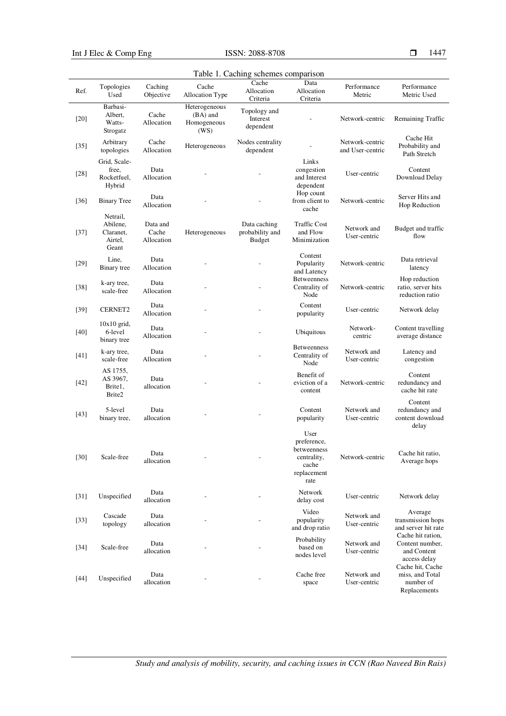Int J Elec & Comp Eng ISSN:  $2088-8708$ 

Table 1. Caching schemes comparison Ref. Topologies Used Caching Objective Cache Allocation Type **Cache** Allocation Criteria Data Allocation Criteria Performance Metric Performance Metric Used [20] Barbasi-Albert, Watts-Strogatz Cache Allocation Heterogeneous (BA) and Homogeneous (WS) Topology and Interest dependent Network-centric Remaining Traffic [35] Arbitrary topologies Cache Cache Heterogeneous Nodes centrality<br>Allocation Heterogeneous dependent dependent Network-centric and User-centric Cache Hit Probability and Path Stretch [28] Grid, Scalefree, Rocketfuel, Hybrid Data Allocation Links congestion and Interest dependent User-centric Content Download Delay [36] Binary Tree Data Allocation Hop count from client to cache Network-centric Server Hits and Hop Reduction [37] Netrail, Abilene, Claranet, Airtel, Geant Data and Cache Allocation Heterogeneous Data caching probability and Budget Traffic Cost and Flow Minimization Network and User-centric Budget and traffic flow [29] Line, Binary tree Data Allocation Content Popularity and Latency Network-centric Data retrieval latency  $k$ -ary tree, scale-free Data Allocation Betweenness Centrality of Node Network-centric Hop reduction ratio, server hits reduction ratio [39] CERNET2 Data Allocation Content<br>popularity User-centric Network delay [40] 10x10 grid, 6-level binary tree Data Data **Data 1988**<br>Allocation **1988**<br>Centric **1989** centric Content travelling average distance  $[k-ary tree,$ scale-free Data Allocation Betweenness Centrality of Node Network and User-centric Latency and congestion [42] AS 1755, AS 3967, Brite1, Brite2 Data allocation Benefit of eviction of a content Network-centric Content redundancy and cache hit rate  $[43]$   $5$ -level binary tree, Data allocation Content popularity Network and User-centric Content redundancy and content download delay [30] Scale-free Data allocation User preference, betweenness centrality, cache replacement rate Network-centric Cache hit ratio, Average hops [31] Unspecified Data allocation Network Network<br>delay cost User-centric Network delay [33] Cascade topology Data allocation Video popularity and drop ratio Network and User-centric Average transmission hops and server hit rate [34] Scale-free Data allocation Probability based on nodes level Network and User-centric Cache hit ration, Content number, and Content access delay [44] Unspecified Data allocation Cache free space Network and User-centric Cache hit, Cache miss, and Total number of Replacements

*Study and analysis of mobility, security, and caching issues in CCN (Rao Naveed Bin Rais)*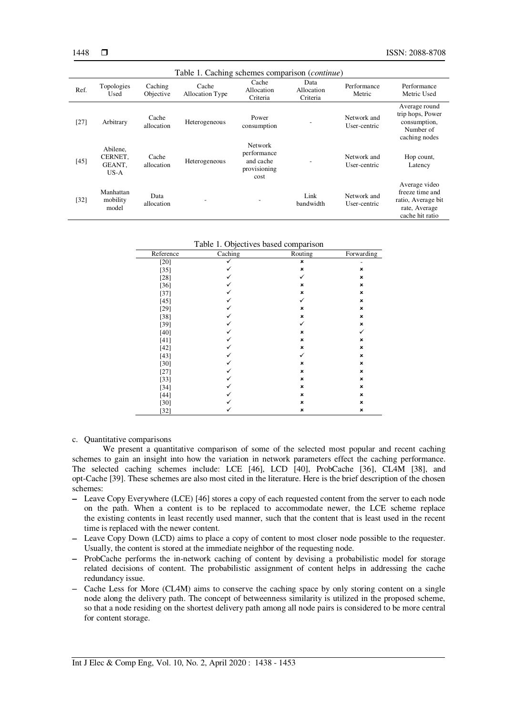| Table 1. Caching schemes comparison ( <i>continue</i> ) |                                         |                      |                          |                                                                    |                                |                             |                                                                                            |
|---------------------------------------------------------|-----------------------------------------|----------------------|--------------------------|--------------------------------------------------------------------|--------------------------------|-----------------------------|--------------------------------------------------------------------------------------------|
| Ref.                                                    | Topologies<br>Used                      | Caching<br>Objective | Cache<br>Allocation Type | Cache<br>Allocation<br>Criteria                                    | Data<br>Allocation<br>Criteria | Performance<br>Metric       | Performance<br>Metric Used                                                                 |
| [27]                                                    | Arbitrary                               | Cache<br>allocation  | Heterogeneous            | Power<br>consumption                                               |                                | Network and<br>User-centric | Average round<br>trip hops, Power<br>consumption,<br>Number of<br>caching nodes            |
| $[45]$                                                  | Abilene.<br>CERNET.<br>GEANT.<br>$US-A$ | Cache<br>allocation  | Heterogeneous            | <b>Network</b><br>performance<br>and cache<br>provisioning<br>cost |                                | Network and<br>User-centric | Hop count,<br>Latency                                                                      |
| $[32]$                                                  | Manhattan<br>mobility<br>model          | Data<br>allocation   |                          | ۰                                                                  | Link<br>bandwidth              | Network and<br>User-centric | Average video<br>freeze time and<br>ratio, Average bit<br>rate, Average<br>cache hit ratio |

#### Table 1. Objectives based comparison

| Reference | Caching | Routing | Forwarding     |
|-----------|---------|---------|----------------|
| [20]      |         | ×       |                |
| $[35]$    |         | ×       | ×              |
| $[28]$    |         | ✓       | $\pmb{\times}$ |
| $[36]$    |         | ×       | ×              |
| $[37]$    | ✓       | ×       | ×              |
| $[45]$    | ✓       | ✓       | $\pmb{\times}$ |
| $[29]$    | ✓       | ×       | $\pmb{\times}$ |
| $[38]$    |         | ×       | ×              |
| $[39]$    | ✓       | ✓       | ×              |
| $[40]$    | ✓       | ×       | ✓              |
| $[41]$    | ✓       | ×       | ×              |
| $[42]$    |         | ×       | $\pmb{\times}$ |
| $[43]$    | ✓       | ✓       | ×              |
| [30]      | ✓       | ×       | $\pmb{\times}$ |
| $[27]$    | ✓       | ×       | $\pmb{\times}$ |
| $[33]$    |         | ×       | $\pmb{\times}$ |
| $[34]$    | ✓       | ×       | $\pmb{\times}$ |
| $[44]$    | ✓       | ×       | $\pmb{\times}$ |
| $[30]$    |         | ×       | $\pmb{\times}$ |
| $[32]$    |         | ×       | $\pmb{\times}$ |

#### c. Quantitative comparisons

We present a quantitative comparison of some of the selected most popular and recent caching schemes to gain an insight into how the variation in network parameters effect the caching performance. The selected caching schemes include: LCE [46], LCD [40], ProbCache [36], CL4M [38], and opt-Cache [39]. These schemes are also most cited in the literature. Here is the brief description of the chosen schemes:

- Leave Copy Everywhere (LCE) [46] stores a copy of each requested content from the server to each node on the path. When a content is to be replaced to accommodate newer, the LCE scheme replace the existing contents in least recently used manner, such that the content that is least used in the recent time is replaced with the newer content.
- Leave Copy Down (LCD) aims to place a copy of content to most closer node possible to the requester. Usually, the content is stored at the immediate neighbor of the requesting node.
- ProbCache performs the in-network caching of content by devising a probabilistic model for storage related decisions of content. The probabilistic assignment of content helps in addressing the cache redundancy issue.
- Cache Less for More (CL4M) aims to conserve the caching space by only storing content on a single node along the delivery path. The concept of betweenness similarity is utilized in the proposed scheme, so that a node residing on the shortest delivery path among all node pairs is considered to be more central for content storage.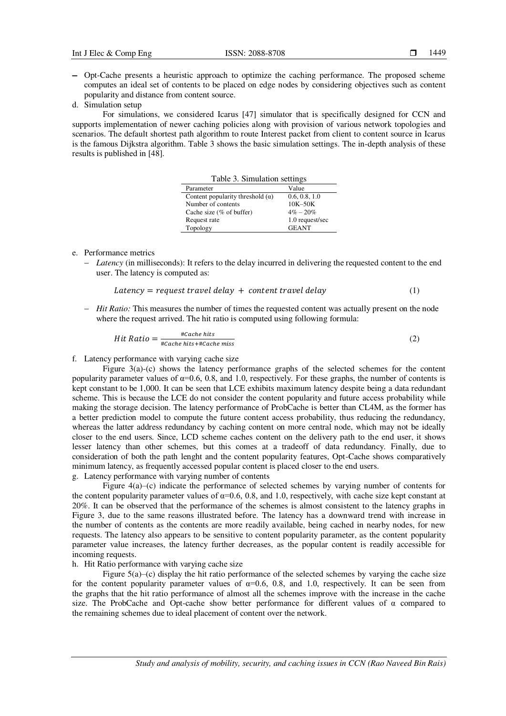- Opt-Cache presents a heuristic approach to optimize the caching performance. The proposed scheme computes an ideal set of contents to be placed on edge nodes by considering objectives such as content popularity and distance from content source.
- d. Simulation setup

For simulations, we considered Icarus [47] simulator that is specifically designed for CCN and supports implementation of newer caching policies along with provision of various network topologies and scenarios. The default shortest path algorithm to route Interest packet from client to content source in Icarus is the famous Dijkstra algorithm. Table 3 shows the basic simulation settings. The in-depth analysis of these results is published in [48].

| Table 3. Simulation settings            |                 |  |  |  |
|-----------------------------------------|-----------------|--|--|--|
| Parameter                               | Value           |  |  |  |
| Content popularity threshold $(\alpha)$ | 0.6, 0.8, 1.0   |  |  |  |
| Number of contents                      | $10K-50K$       |  |  |  |
| Cache size $(\%$ of buffer)             | $4\% - 20\%$    |  |  |  |
| Request rate                            | 1.0 request/sec |  |  |  |
| Topology                                | <b>GEANT</b>    |  |  |  |

#### e. Performance metrics

 *Latency* (in milliseconds): It refers to the delay incurred in delivering the requested content to the end user. The latency is computed as:

$$
Latency = request\ travel\ delay + content\ travel\ delay \tag{1}
$$

*Hit Ratio:* This measures the number of times the requested content was actually present on the node where the request arrived. The hit ratio is computed using following formula:

$$
Hit Ratio = \frac{\#Cache\; hits}{\#Cache\; hits + \#Cache\; miss}
$$
 (2)

f. Latency performance with varying cache size

Figure  $3(a)$ -(c) shows the latency performance graphs of the selected schemes for the content popularity parameter values of  $\alpha$ =0.6, 0.8, and 1.0, respectively. For these graphs, the number of contents is kept constant to be 1,000. It can be seen that LCE exhibits maximum latency despite being a data redundant scheme. This is because the LCE do not consider the content popularity and future access probability while making the storage decision. The latency performance of ProbCache is better than CL4M, as the former has a better prediction model to compute the future content access probability, thus reducing the redundancy, whereas the latter address redundancy by caching content on more central node, which may not be ideally closer to the end users. Since, LCD scheme caches content on the delivery path to the end user, it shows lesser latency than other schemes, but this comes at a tradeoff of data redundancy. Finally, due to consideration of both the path lenght and the content popularity features, Opt-Cache shows comparatively minimum latency, as frequently accessed popular content is placed closer to the end users. g. Latency performance with varying number of contents

Figure 4(a)–(c) indicate the performance of selected schemes by varying number of contents for the content popularity parameter values of  $\alpha$ =0.6, 0.8, and 1.0, respectively, with cache size kept constant at 20%. It can be observed that the performance of the schemes is almost consistent to the latency graphs in Figure 3, due to the same reasons illustrated before. The latency has a downward trend with increase in the number of contents as the contents are more readily available, being cached in nearby nodes, for new requests. The latency also appears to be sensitive to content popularity parameter, as the content popularity parameter value increases, the latency further decreases, as the popular content is readily accessible for incoming requests.

# h. Hit Ratio performance with varying cache size

Figure 5(a)–(c) display the hit ratio performance of the selected schemes by varying the cache size for the content popularity parameter values of  $\alpha$ =0.6, 0.8, and 1.0, respectively. It can be seen from the graphs that the hit ratio performance of almost all the schemes improve with the increase in the cache size. The ProbCache and Opt-cache show better performance for different values of  $\alpha$  compared to the remaining schemes due to ideal placement of content over the network.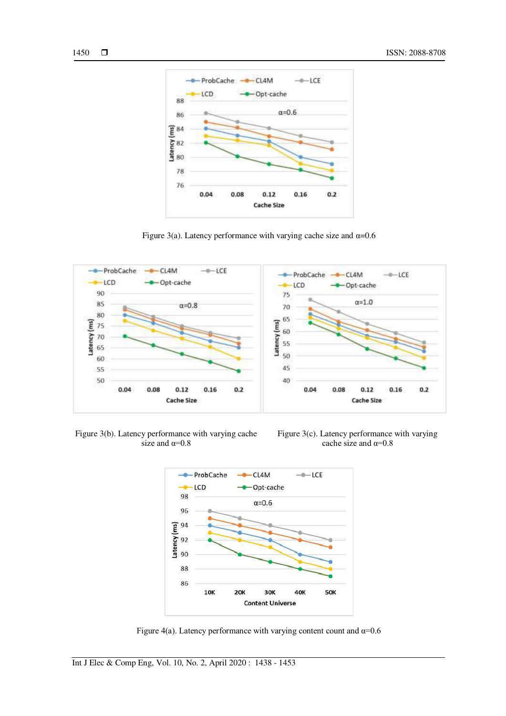

Figure 3(a). Latency performance with varying cache size and  $\alpha$ =0.6



Figure 3(b). Latency performance with varying cache size and  $\alpha=0.8$ 





Figure 4(a). Latency performance with varying content count and  $\alpha$ =0.6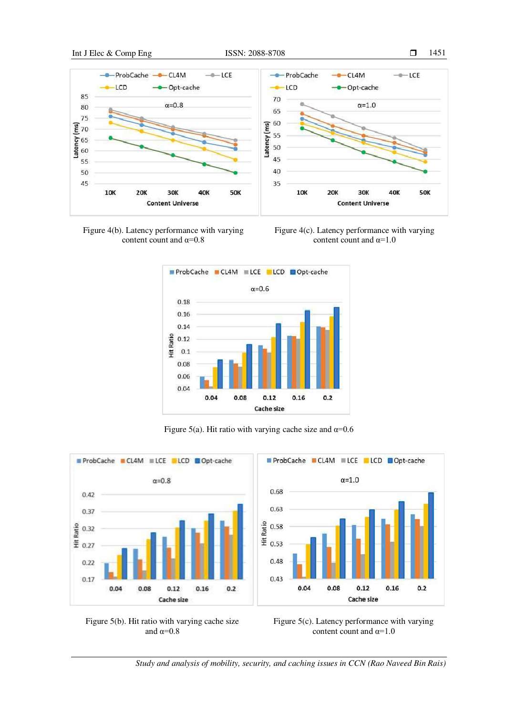



Figure 4(c). Latency performance with varying content count and  $\alpha=1.0$ 



Figure 5(a). Hit ratio with varying cache size and  $\alpha$ =0.6







*Study and analysis of mobility, security, and caching issues in CCN (Rao Naveed Bin Rais)*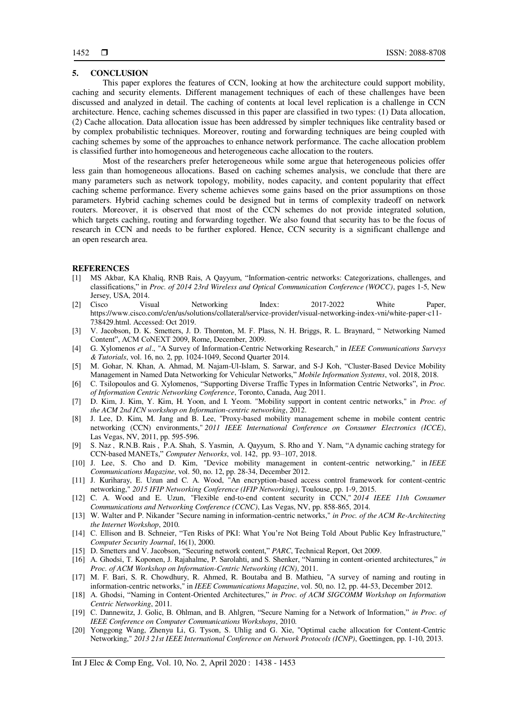# **5. CONCLUSION**

This paper explores the features of CCN, looking at how the architecture could support mobility, caching and security elements. Different management techniques of each of these challenges have been discussed and analyzed in detail. The caching of contents at local level replication is a challenge in CCN architecture. Hence, caching schemes discussed in this paper are classified in two types: (1) Data allocation, (2) Cache allocation. Data allocation issue has been addressed by simpler techniques like centrality based or by complex probabilistic techniques. Moreover, routing and forwarding techniques are being coupled with caching schemes by some of the approaches to enhance network performance. The cache allocation problem is classified further into homogeneous and heterogeneous cache allocation to the routers.

Most of the researchers prefer heterogeneous while some argue that heterogeneous policies offer less gain than homogeneous allocations. Based on caching schemes analysis, we conclude that there are many parameters such as network topology, mobility, nodes capacity, and content popularity that effect caching scheme performance. Every scheme achieves some gains based on the prior assumptions on those parameters. Hybrid caching schemes could be designed but in terms of complexity tradeoff on network routers. Moreover, it is observed that most of the CCN schemes do not provide integrated solution, which targets caching, routing and forwarding together. We also found that security has to be the focus of research in CCN and needs to be further explored. Hence, CCN security is a significant challenge and an open research area.

#### **REFERENCES**

- [1] MS Akbar, KA Khaliq, RNB Rais, A Qayyum, "Information-centric networks: Categorizations, challenges, and classifications," in *Proc. of 2014 23rd Wireless and Optical Communication Conference (WOCC)*, pages 1-5, New Jersey, USA, 2014.
- [2] Cisco Visual Networking Index: 2017-2022 White Paper, https://www.cisco.com/c/en/us/solutions/collateral/service-provider/visual-networking-index-vni/white-paper-c11- 738429.html. Accessed: Oct 2019.
- [3] V. Jacobson, D. K. Smetters, J. D. Thornton, M. F. Plass, N. H. Briggs, R. L. Braynard, " Networking Named Content", ACM CoNEXT 2009, Rome, December, 2009.
- [4] G. Xylomenos *et al*., "A Survey of Information-Centric Networking Research," in *IEEE Communications Surveys & Tutorials*, vol. 16, no. 2, pp. 1024-1049, Second Quarter 2014.
- [5] M. Gohar, N. Khan, A. Ahmad, M. Najam-Ul-Islam, S. Sarwar, and S-J Koh, "Cluster-Based Device Mobility Management in Named Data Networking for Vehicular Networks," *Mobile Information Systems*, vol. 2018, 2018.
- [6] C. Tsilopoulos and G. Xylomenos, "Supporting Diverse Traffic Types in Information Centric Networks", in *Proc. of Information Centric Networking Conference*, Toronto, Canada, Aug 2011.
- [7] D. Kim, J. Kim, Y. Kim, H. Yoon, and I. Yeom. "Mobility support in content centric networks," in *Proc. of the ACM 2nd ICN workshop on Information-centric networking*, 2012.
- [8] J. Lee, D. Kim, M. Jang and B. Lee, "Proxy-based mobility management scheme in mobile content centric networking (CCN) environments," *2011 IEEE International Conference on Consumer Electronics (ICCE)*, Las Vegas, NV, 2011, pp. 595-596.
- [9] S. Naz , R.N.B. Rais , P.A. Shah, S. Yasmin, A. Qayyum, S. Rho and Y. Nam, "A dynamic caching strategy for CCN-based MANETs," *Computer Networks*, vol. 142, pp. 93–107, 2018.
- [10] J. Lee, S. Cho and D. Kim, "Device mobility management in content-centric networking," in *IEEE Communications Magazine*, vol. 50, no. 12, pp. 28-34, December 2012.
- [11] J. Kuriharay, E. Uzun and C. A. Wood, "An encryption-based access control framework for content-centric networking," *2015 IFIP Networking Conference (IFIP Networking)*, Toulouse, pp. 1-9, 2015.
- [12] C. A. Wood and E. Uzun, "Flexible end-to-end content security in CCN," *2014 IEEE 11th Consumer Communications and Networking Conference (CCNC)*, Las Vegas, NV, pp. 858-865, 2014.
- [13] W. Walter and P. Nikander "Secure naming in information-centric networks," *in Proc. of the ACM Re-Architecting the Internet Workshop*, 2010.
- [14] C. Ellison and B. Schneier, "Ten Risks of PKI: What You're Not Being Told About Public Key Infrastructure," *Computer Security Journal*, 16(1), 2000.
- [15] D. Smetters and V. Jacobson, "Securing network content," *PARC*, Technical Report, Oct 2009.
- [16] A. Ghodsi, T. Koponen, J. Rajahalme, P. Sarolahti, and S. Shenker, "Naming in content-oriented architectures," *in Proc. of ACM Workshop on Information-Centric Networking (ICN)*, 2011.
- [17] M. F. Bari, S. R. Chowdhury, R. Ahmed, R. Boutaba and B. Mathieu, "A survey of naming and routing in information-centric networks," in *IEEE Communications Magazine*, vol. 50, no. 12, pp. 44-53, December 2012.
- [18] A. Ghodsi, "Naming in Content-Oriented Architectures," *in Proc. of ACM SIGCOMM Workshop on Information Centric Networking*, 2011.
- [19] C. Dannewitz, J. Golic, B. Ohlman, and B. Ahlgren, "Secure Naming for a Network of Information," *in Proc. of IEEE Conference on Computer Communications Workshops*, 2010.
- [20] Yonggong Wang, Zhenyu Li, G. Tyson, S. Uhlig and G. Xie, "Optimal cache allocation for Content-Centric Networking," *2013 21st IEEE International Conference on Network Protocols (ICNP)*, Goettingen, pp. 1-10, 2013.